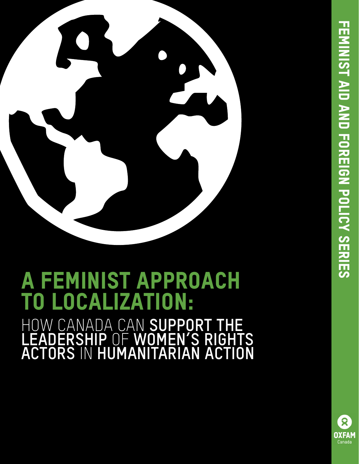

## A FEMINIST APPROACH<br>TO LOCALIZATION: O LOCALIZATION: HOW CANADA CAN **SUPPORT THE LEADERSHIP** OF **WOMEN'S RIGHTS ACTORS** IN **HUMANITARIAN ACTION**

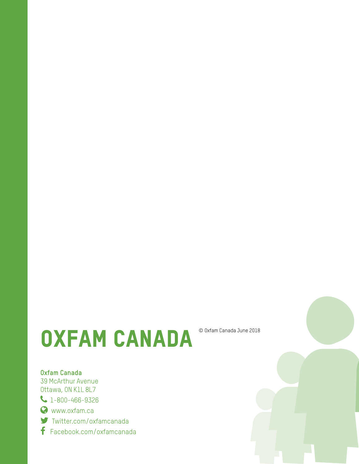# OXFAM CANADA<sup>® Oxfam Canada June 2018</sup>

Oxfam Canada 39 McArthur Avenue Ottawa, ON K1L 8L7  $\bigcup$  1-800-466-9326 Www.oxfam.ca Twitter.com/oxfamcanada f Facebook.com/oxfamcanada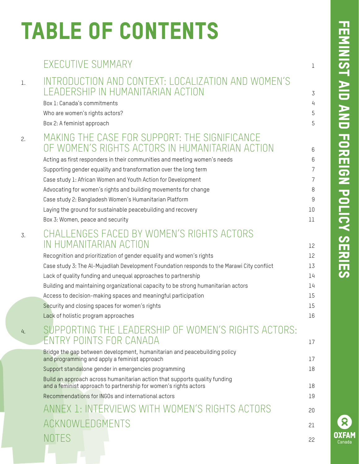# TABLE OF CONTENTS

## [EXECUTIVE SUMMARY](#page-4-0) THE RESERVE THAT THE RESERVE THE RESERVE THAT THE RESERVE THAT THE RESERVE THAT THE RESERVE THAT THE RESERVE THAT THE RESERVE THAT THE RESERVE THAT THE RESERVE THAT THE RESERVE THAT THE RESERVE THAT THE R

#### 1. INTRODUCTION AND CONTEXT: LOCALIZATION AND WOMEN'S [LEADERSHIP IN HUMANITARIAN ACTION](#page-6-0) 3

[Box 1: Canada's commitments 4](#page-7-0) Who are women's rights actors? **5** [Box 2: A feminist approach 5](#page-8-0)

#### 2. [MAKING THE CASE FOR SUPPORT: THE SIGNIFICANCE](#page-9-0)  OF WOMEN'S RIGHTS ACTORS IN HUMANITARIAN ACTION

[Acting as first responders in their communities and meeting women's needs 6](#page-9-0) Supporting gender equality and transformation over the long term  $\frac{1}{2}$ [Case study 1:](#page-10-0) [African Women and Youth Action for Development](#page-10-0) 7 [Advocating for women's rights and building movements for change 8](#page-11-0) [Case study 2:](#page-12-0) [Bangladesh Women's Humanitarian Platform](#page-12-0) 9 Laying the ground for sustainable peacebuilding and recovery and the state of the state of the 10 [Box 3: Women, peace and security](#page-14-0) 11 and 200 methods of the security 11 and 200 methods of the security 11 and 200 methods of the security 11 and 200 methods of the security 11 and 200 methods of the security 11 and 200 met

#### 3. [CHALLENGES FACED BY WOMEN'S RIGHTS ACTORS](#page-15-0)  [IN HUMANITARIAN ACTION](#page-15-0) 12

| Recognition and prioritization of gender equality and women's rights                       | 12 |
|--------------------------------------------------------------------------------------------|----|
| Case study 3: The Al-Mujadilah Development Foundation responds to the Marawi City conflict | 13 |
| Lack of quality funding and unequal approaches to partnership                              | 14 |
| Building and maintaining organizational capacity to be strong humanitarian actors          | 14 |
| Access to decision-making spaces and meaningful participation                              | 15 |
| Security and closing spaces for women's rights                                             | 15 |
| Lack of holistic program approaches                                                        | 16 |
|                                                                                            |    |

## 4. SUPPORTING THE LEADERSHIP OF WOMEN'S RIGHTS ACTORS: [ENTRY POINTS FOR CANADA](#page-20-0)

| Bridge the gap between development, humanitarian and peacebuilding policy<br>and programming and apply a feminist approach                     | 17 |
|------------------------------------------------------------------------------------------------------------------------------------------------|----|
| Support standalone gender in emergencies programming                                                                                           | 18 |
| Build an approach across humanitarian action that supports quality funding<br>and a feminist approach to partnership for women's rights actors | 18 |
| Recommendations for INGOs and international actors                                                                                             | 19 |
| ANNEX 1: INTERVIEWS WITH WOMEN'S RIGHTS ACTORS                                                                                                 | 20 |
| ACKNOWLEDGMENTS                                                                                                                                | 21 |
|                                                                                                                                                |    |

[NOTES](#page-25-0) PRESENTED A 22 ANNUAL MOTES AND A 22 ANNUAL MOTES AND A 22 ANNUAL MOTES AND A 22 ANNUAL MOTES AND A 22 ANNUAL MOTES AND A 22 ANNUAL MOTES AND A 22 ANNUAL MOTES AND A 22 ANNUAL MOTES AND A 22 ANNUAL MOTES AND A 22 ANN

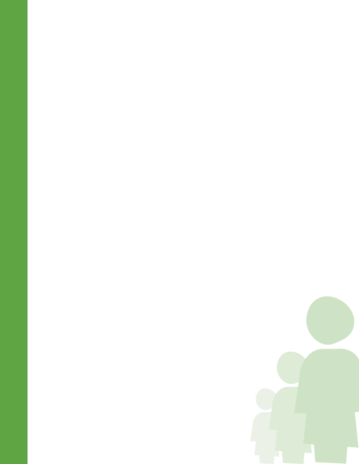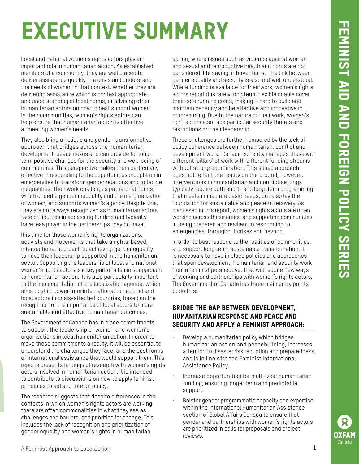# <span id="page-4-0"></span>**EXECUTIVE SUMMARY**

Local and national women's rights actors play an important role in humanitarian action. As established members of a community, they are well placed to deliver assistance quickly in a crisis and understand the needs of women in that context. Whether they are delivering assistance which is context appropriate and understanding of local norms, or advising other humanitarian actors on how to best support women in their communities, women's rights actors can help ensure that humanitarian action is effective at meeting women's needs.

They also bring a holistic and gender-transformative approach that bridges across the humanitariandevelopment-peace nexus and can provide for longterm positive changes for the security and well-being of communities. This perspective makes them particularly effective in responding to the opportunities brought on in emergencies to transform gender relations and to tackle inequalities. Their work challenges patriarchal norms, which underlie gender inequality and the marginalization of women, and supports women's agency. Despite this, they are not always recognized as humanitarian actors, face difficulties in accessing funding and typically have less power in the partnerships they do have.

It is time for those women's rights organizations, activists and movements that take a rights-based, intersectional approach to achieving gender equality to have their leadership supported in the humanitarian sector. Supporting the leadership of local and national women's rights actors is a key part of a feminist approach to humanitarian action. It is also particularly important to the implementation of the localization agenda, which aims to shift power from international to national and local actors in crisis-affected countries, based on the recognition of the importance of local actors to more sustainable and effective humanitarian outcomes.

The Government of Canada has in place commitments to support the leadership of women and women's organisations in local humanitarian action. In order to make these commitments a reality, it will be essential to understand the challenges they face, and the best forms of international assistance that would support them. This reports presents findings of research with women's rights actors involved in humanitarian action. It is intended to contribute to discussions on how to apply feminist principles to aid and foreign policy.

The research suggests that despite differences in the contexts in which women's rights actors are working, there are often commonalities in what they see as challenges and barriers, and priorities for change. This includes the lack of recognition and prioritization of gender equality and women's rights in humanitarian

action, where issues such as violence against women and sexual and reproductive health and rights are not considered 'life saving' interventions. The link between gender equality and security is also not well understood. Where funding is available for their work, women's rights actors report it is rarely long term, flexible or able cover their core running costs, making it hard to build and maintain capacity and be effective and innovative in programming. Due to the nature of their work, women's right actors also face particular security threats and restrictions on their leadership.

These challenges are further hampered by the lack of policy coherence between humanitarian, conflict and development work. Canada currently manages these with different 'pillars' of work with different funding streams without strong coordination. This siloed approach does not reflect the reality on the ground, however. Interventions in humanitarian and conflict settings typically require both short- and long-term programming that meets immediate basic needs, but also lay the foundation for sustainable and peaceful recovery. As discussed in this report, women's rights actors are often working across these areas, and supporting communities in being prepared and resilient in responding to emergencies, throughout crises and beyond.

In order to best respond to the realities of communities, and support long term, sustainable transformation, it is necessary to have in place policies and approaches that span development, humanitarian and security work from a feminist perspective. That will require new ways of working and partnerships with women's rights actors. The Government of Canada has three main entry points to do this:

#### Bridge the gap between development, humanitarian response and peace and security and apply a feminist approach:

- Develop a humanitarian policy which bridges humanitarian action and peacebuilding, increases attention to disaster risk reduction and preparedness, and is in line with the Feminist International Assistance Policy.
- Increase opportunities for multi-year humanitarian funding, ensuring longer term and predictable support.
- Bolster gender programmatic capacity and expertise within the International Humanitarian Assistance section of Global Affairs Canada to ensure that gender and partnerships with women's rights actors are prioritized in calls for proposals and project reviews.

**OXFAM** Canada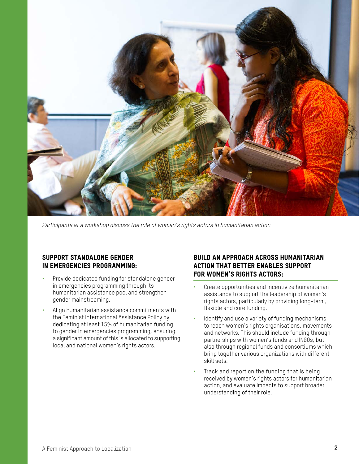

*Participants at a workshop discuss the role of women's rights actors in humanitarian action*

#### Support standalone gender in emergencies programming:

- Provide dedicated funding for standalone gender in emergencies programming through its humanitarian assistance pool and strengthen gender mainstreaming.
- Align humanitarian assistance commitments with the Feminist International Assistance Policy by dedicating at least 15% of humanitarian funding to gender in emergencies programming, ensuring a significant amount of this is allocated to supporting local and national women's rights actors.

#### Build an approach across humanitarian action that better enables support for women's rights actors:

- Create opportunities and incentivize humanitarian assistance to support the leadership of women's rights actors, particularly by providing long-term, flexible and core funding.
- Identify and use a variety of funding mechanisms to reach women's rights organisations, movements and networks. This should include funding through partnerships with women's funds and INGOs, but also through regional funds and consortiums which bring together various organizations with different skill sets.
- Track and report on the funding that is being received by women's rights actors for humanitarian action, and evaluate impacts to support broader understanding of their role.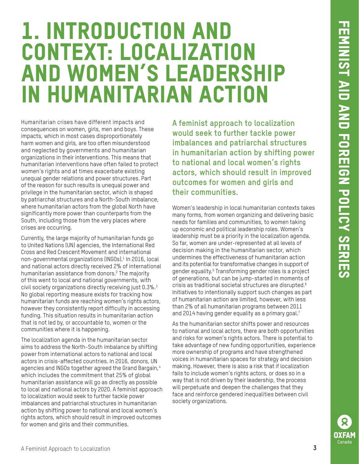## <span id="page-6-0"></span>1. INTRODUCTION AND CONTEXT: LOCALIZATION AND WOMEN'S LEADERSHIP IN HUMANITARIAN ACTION

Humanitarian crises have different impacts and consequences on women, girls, men and boys. These impacts, which in most cases disproportionately harm women and girls, are too often misunderstood and neglected by governments and humanitarian organizations in their interventions. This means that humanitarian interventions have often failed to protect women's rights and at times exacerbate existing unequal gender relations and power structures. Part of the reason for such results is unequal power and privilege in the humanitarian sector, which is shaped by patriarchal structures and a North-South imbalance, where humanitarian actors from the global North have significantly more power than counterparts from the South, including those from the very places where crises are occurring.

Currently, the large majority of humanitarian funds go to United Nations (UN) agencies, the International Red Cross and Red Crescent Movement and international non-governmental organizations (INGOs).<sup>1</sup> In 2016, local and national actors directly received 2% of international humanitarian assistance from donors.<sup>2</sup> The majority of this went to local and national governments, with civil society organizations directly receiving just 0.3%.3 No global reporting measure exists for tracking how humanitarian funds are reaching women's rights actors, however they consistently report difficulty in accessing funding. This situation results in humanitarian action that is not led by, or accountable to, women or the communities where it is happening.

The localization agenda in the humanitarian sector aims to address the North-South imbalance by shifting power from international actors to national and local actors in crisis-affected countries. In 2016, donors, UN agencies and INGOs together agreed the Grand Bargain,  $4$ which includes the commitment that 25% of global humanitarian assistance will go as directly as possible to local and national actors by 2020. A feminist approach to localization would seek to further tackle power imbalances and patriarchal structures in humanitarian action by shifting power to national and local women's rights actors, which should result in improved outcomes for women and girls and their communities.

**A feminist approach to localization would seek to further tackle power imbalances and patriarchal structures in humanitarian action by shifting power to national and local women's rights actors, which should result in improved outcomes for women and girls and their communities.**

Women's leadership in local humanitarian contexts takes many forms, from women organizing and delivering basic needs for families and communities, to women taking up economic and political leadership roles. Women's leadership must be a priority in the localization agenda. So far, women are under-represented at all levels of decision making in the humanitarian sector, which undermines the effectiveness of humanitarian action and its potential for transformative changes in support of gender equality.<sup>5</sup> Transforming gender roles is a project of generations, but can be jump-started in moments of crisis as traditional societal structures are disrupted.6 Initiatives to intentionally support such changes as part of humanitarian action are limited, however, with less than 2% of all humanitarian programs between 2011 and 2014 having gender equality as a primary goal.<sup>7</sup>

As the humanitarian sector shifts power and resources to national and local actors, there are both opportunities and risks for women's rights actors. There is potential to take advantage of new funding opportunities, experience more ownership of programs and have strengthened voices in humanitarian spaces for strategy and decision making. However, there is also a risk that if localization fails to include women's rights actors, or does so in a way that is not driven by their leadership, the process will perpetuate and deepen the challenges that they face and reinforce gendered inequalities between civil society organizations.

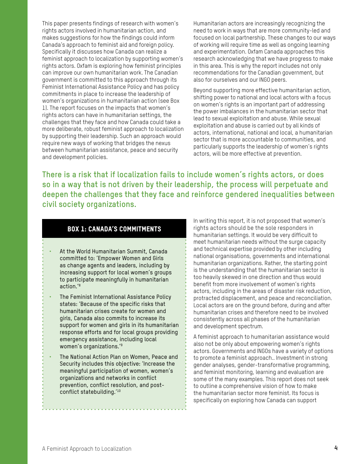<span id="page-7-0"></span>This paper presents findings of research with women's rights actors involved in humanitarian action, and makes suggestions for how the findings could inform Canada's approach to feminist aid and foreign policy. Specifically it discusses how Canada can realize a feminist approach to localization by supporting women's rights actors. Oxfam is exploring how feminist principles can improve our own humanitarian work. The Canadian government is committed to this approach through its Feminist International Assistance Policy and has policy commitments in place to increase the leadership of women's organizations in humanitarian action (see Box 1). The report focuses on the impacts that women's rights actors can have in humanitarian settings, the challenges that they face and how Canada could take a more deliberate, robust feminist approach to localization by supporting their leadership. Such an approach would require new ways of working that bridges the nexus between humanitarian assistance, peace and security and development policies.

Humanitarian actors are increasingly recognizing the need to work in ways that are more community-led and focused on local partnership. These changes to our ways of working will require time as well as ongoing learning and experimentation. Oxfam Canada approaches this research acknowledging that we have progress to make in this area. This is why the report includes not only recommendations for the Canadian government, but also for ourselves and our INGO peers.

Beyond supporting more effective humanitarian action, shifting power to national and local actors with a focus on women's rights is an important part of addressing the power imbalances in the humanitarian sector that lead to sexual exploitation and abuse. While sexual exploitation and abuse is carried out by all kinds of actors, international, national and local, a humanitarian sector that is more accountable to communities, and particularly supports the leadership of women's rights actors, will be more effective at prevention.

**There is a risk that if localization fails to include women's rights actors, or does so in a way that is not driven by their leadership, the process will perpetuate and deepen the challenges that they face and reinforce gendered inequalities between civil society organizations.** 

#### Box 1: Canada's commitments

- At the World Humanitarian Summit, Canada committed to: 'Empower Women and Girls as change agents and leaders, including by increasing support for local women's groups to participate meaningfully in humanitarian action.'8
- The Feminist International Assistance Policy states: 'Because of the specific risks that humanitarian crises create for women and girls, Canada also commits to increase its support for women and girls in its humanitarian response efforts and for local groups providing emergency assistance, including local women's organizations.'9
- The National Action Plan on Women, Peace and Security includes this objective: 'Increase the meaningful participation of women, women's organizations and networks in conflict prevention, conflict resolution, and postconflict statebuilding.'10

In writing this report, it is not proposed that women's rights actors should be the sole responders in humanitarian settings. It would be very difficult to meet humanitarian needs without the surge capacity and technical expertise provided by other including national organisations, governments and international humanitarian organizations. Rather, the starting point is the understanding that the humanitarian sector is too heavily skewed in one direction and thus would benefit from more involvement of women's rights actors, including in the areas of disaster risk reduction, protracted displacement, and peace and reconciliation. Local actors are on the ground before, during and after humanitarian crises and therefore need to be involved consistently across all phases of the humanitarian and development spectrum.

A feminist approach to humanitarian assistance would also not be only about empowering women's rights actors. Governments and INGOs have a variety of options to promote a feminist approach.. Investment in strong gender analyses, gender-transformative programming, and feminist monitoring, learning and evaluation are some of the many examples. This report does not seek to outline a comprehensive vision of how to make the humanitarian sector more feminist. Its focus is specifically on exploring how Canada can support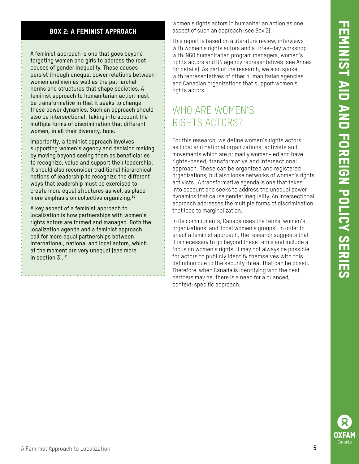#### <span id="page-8-0"></span>Box 2: A feminist approach

A feminist approach is one that goes beyond targeting women and girls to address the root causes of gender inequality. These causes persist through unequal power relations between women and men as well as the patriarchal norms and structures that shape societies. A feminist approach to humanitarian action must be transformative in that it seeks to change these power dynamics. Such an approach should also be intersectional, taking into account the multiple forms of discrimination that different women, in all their diversity, face.

Importantly, a feminist approach involves supporting women's agency and decision making by moving beyond seeing them as beneficiaries to recognize, value and support their leadership. It should also reconsider traditional hierarchical notions of leadership to recognize the different ways that leadership must be exercised to create more equal structures as well as place more emphasis on collective organizing.11

A key aspect of a feminist approach to localization is how partnerships with women's rights actors are formed and managed. Both the localization agenda and a feminist approach call for more equal partnerships between international, national and local actors, which at the moment are very unequal (see more in section 3).<sup>12</sup>

women's rights actors in humanitarian action as one aspect of such an approach (see Box 2).

This report is based on a literature review, interviews with women's rights actors and a three-day workshop with INGO humanitarian program managers, women's rights actors and UN agency representatives (see Annex for details). As part of the research, we also spoke with representatives of other humanitarian agencies and Canadian organizations that support women's rights actors.

### WHO ARE WOMEN'S RIGHTS ACTORS?

For this research, we define women's rights actors as local and national organizations, activists and movements which are primarily women-led and have rights-based, transformative and intersectional approach. These can be organized and registered organizations, but also loose networks of women's rights activists. A transformative agenda is one that takes into account and seeks to address the unequal power dynamics that cause gender inequality. An intersectional approach addresses the multiple forms of discrimination that lead to marginalization.

In its commitments, Canada uses the terms 'women's organizations' and 'local women's groups'. In order to enact a feminist approach, the research suggests that it is necessary to go beyond these terms and include a focus on women's rights. It may not always be possible for actors to publicly identify themselves with this definition due to the security threat that can be posed. Therefore when Canada is identifying who the best partners may be, there is a need for a nuanced, context-specific approach.

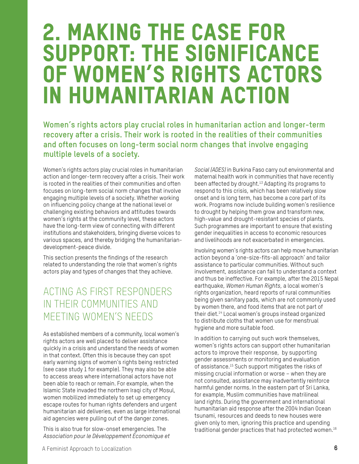## <span id="page-9-0"></span>2. MAKING THE CASE FOR SUPPORT: THE SIGNIFICANCE OF WOMEN'S RIGHTS ACTORS IN HUMANITARIAN ACTION

**Women's rights actors play crucial roles in humanitarian action and longer-term recovery after a crisis. Their work is rooted in the realities of their communities and often focuses on long-term social norm changes that involve engaging multiple levels of a society.**

Women's rights actors play crucial roles in humanitarian action and longer-term recovery after a crisis. Their work is rooted in the realities of their communities and often focuses on long-term social norm changes that involve engaging multiple levels of a society. Whether working on influencing policy change at the national level or challenging existing behaviors and attitudes towards women's rights at the community level, these actors have the long-term view of connecting with different institutions and stakeholders, bringing diverse voices to various spaces, and thereby bridging the humanitariandevelopment-peace divide.

This section presents the findings of the research related to understanding the role that women's rights actors play and types of changes that they achieve.

## ACTING AS FIRST RESPONDERS IN THEIR COMMUNITIES AND MEETING WOMEN'S NEEDS

As established members of a community, local women's rights actors are well placed to deliver assistance quickly in a crisis and understand the needs of women in that context. Often this is because they can spot early warning signs of women's rights being restricted (see case study 1 for example). They may also be able to access areas where international actors have not been able to reach or remain. For example, when the Islamic State invaded the northern Iraqi city of Mosul, women mobilized immediately to set up emergency escape routes for human rights defenders and urgent humanitarian aid deliveries, even as large international aid agencies were pulling out of the danger zones.

This is also true for slow-onset emergencies. The *Association pour le Développement Économique et* 

*Social (ADES)* in Burkina Faso carry out environmental and maternal health work in communities that have recently been affected by drought.<sup>13</sup> Adapting its programs to respond to this crisis, which has been relatively slow onset and is long term, has become a core part of its work. Programs now include building women's resilience to drought by helping them grow and transform new, high-value and drought-resistant species of plants. Such programmes are important to ensure that existing gender inequalities in access to economic resources and livelihoods are not exacerbated in emergencies.

Involving women's rights actors can help move humanitarian action beyond a 'one-size-fits-all approach' and tailor assistance to particular communities. Without such involvement, assistance can fail to understand a context and thus be ineffective. For example, after the 2015 Nepal earthquake, *Women Human Rights*, a local women's rights organization, heard reports of rural communities being given sanitary pads, which are not commonly used by women there, and food items that are not part of their diet.14 Local women's groups instead organized to distribute cloths that women use for menstrual hygiene and more suitable food.

In addition to carrying out such work themselves, women's rights actors can support other humanitarian actors to improve their response, by supporting gender assessments or monitoring and evaluation of assistance.15 Such support mitigates the risks of missing crucial information or worse – when they are not consulted, assistance may inadvertently reinforce harmful gender norms. In the eastern part of Sri Lanka, for example, Muslim communities have matrilineal land rights. During the government and international humanitarian aid response after the 2004 Indian Ocean tsunami, resources and deeds to new houses were given only to men, ignoring this practice and upending traditional gender practices that had protected women.<sup>16</sup>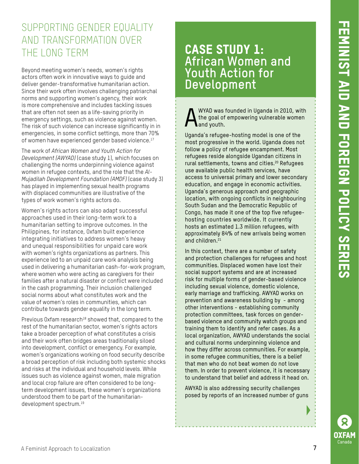### <span id="page-10-0"></span>SUPPORTING GENDER EQUALITY AND TRANSFORMATION OVER THE LONG TERM

Beyond meeting women's needs, women's rights actors often work in innovative ways to guide and deliver gender-transformative humanitarian action. Since their work often involves challenging patriarchal norms and supporting women's agency, their work is more comprehensive and includes tackling issues that are often not seen as a life-saving priority in emergency settings, such as violence against women. The risk of such violence can increase significantly in in emergencies, in some conflict settings, more than 70% of women have experienced gender based violence.17

The work of *African Women and Youth Action for Development (AWYAD)* (case study 1), which focuses on challenging the norms underpinning violence against women in refugee contexts, and the role that the *Al-Mujadilah Development Foundation (AMDF)* (case study 3) has played in implementing sexual health programs with displaced communities are illustrative of the types of work women's rights actors do.

Women's rights actors can also adapt successful approaches used in their long-term work to a humanitarian setting to improve outcomes. In the Philippines, for instance, Oxfam built experience integrating initiatives to address women's heavy and unequal responsibilities for unpaid care work with women's rights organizations as partners. This experience led to an unpaid care work analysis being used in delivering a humanitarian cash-for-work program, where women who were acting as caregivers for their families after a natural disaster or conflict were included in the cash programming. Their inclusion challenged social norms about what constitutes work and the value of women's roles in communities, which can contribute towards gender equality in the long term.

Previous Oxfam research<sup>18</sup> showed that, compared to the rest of the humanitarian sector, women's rights actors take a broader perception of what constitutes a crisis and their work often bridges areas traditionally siloed into development, conflict or emergency. For example, women's organizations working on food security describe a broad perception of risk including both systemic shocks and risks at the individual and household levels. While issues such as violence against women, male migration and local crop failure are often considered to be longterm development issues, these women's organizations understood them to be part of the humanitariandevelopment spectrum.<sup>19</sup>

## CASE STUDY 1: **African Women and Youth Action for Development**

AWYAD was founded in Uganda in 2010, with the goal of empowering vulnerable women and youth.

Uganda's refugee-hosting model is one of the most progressive in the world. Uganda does not follow a policy of refugee encampment. Most refugees reside alongside Ugandan citizens in rural settlements, towns and cities.<sup>20</sup> Refugees use available public health services, have access to universal primary and lower secondary education, and engage in economic activities. Uganda's generous approach and geographic location, with ongoing conflicts in neighbouring South Sudan and the Democratic Republic of Congo, has made it one of the top five refugeehosting countries worldwide. It currently hosts an estimated 1.3 million refugees, with approximately 84% of new arrivals being women and children.<sup>21</sup>

In this context, there are a number of safety and protection challenges for refugees and host communities. Displaced women have lost their social support systems and are at increased risk for multiple forms of gender-based violence including sexual violence, domestic violence, early marriage and trafficking. AWYAD works on prevention and awareness building by - among other interventions - establishing community protection committees, task forces on genderbased violence and community watch groups and training them to identify and refer cases. As a local organization, AWYAD understands the social and cultural norms underpinning violence and how they differ across communities. For example, in some refugee communities, there is a belief that men who do not beat women do not love them. In order to prevent violence, it is necessary to understand that belief and address it head on.

AWYAD is also addressing security challenges posed by reports of an increased number of guns

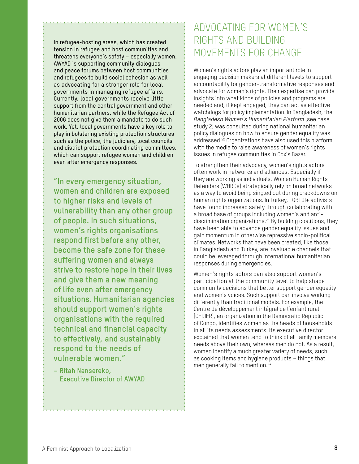<span id="page-11-0"></span>in refugee-hosting areas, which has created tension in refugee and host communities and threatens everyone's safety – especially women. AWYAD is supporting community dialogues and peace forums between host communities and refugees to build social cohesion as well as advocating for a stronger role for local governments in managing refugee affairs. Currently, local governments receive little support from the central government and other humanitarian partners, while the Refugee Act of 2006 does not give them a mandate to do such work. Yet, local governments have a key role to play in bolstering existing protection structures such as the police, the judiciary, local councils and district protection coordinating committees, which can support refugee women and children even after emergency responses.

**"In every emergency situation, women and children are exposed to higher risks and levels of vulnerability than any other group of people. In such situations, women's rights organisations respond first before any other, become the safe zone for these suffering women and always strive to restore hope in their lives and give them a new meaning of life even after emergency situations. Humanitarian agencies should support women's rights organisations with the required technical and financial capacity to effectively, and sustainably respond to the needs of vulnerable women."** 

**– Ritah Nansereko, Executive Director of AWYAD**

#### ADVOCATING FOR WOMEN'S RIGHTS AND BUILDING MOVEMENTS FOR CHANGE

Women's rights actors play an important role in engaging decision makers at different levels to support accountability for gender-transformative responses and advocate for women's rights. Their expertise can provide insights into what kinds of policies and programs are needed and, if kept engaged, they can act as effective watchdogs for policy implementation. In Bangladesh, the *Bangladesh Women's Humanitarian Platform* (see case study 2) was consulted during national humanitarian policy dialogues on how to ensure gender equality was addressed.22 Organizations have also used this platform with the media to raise awareness of women's rights issues in refugee communities in Cox's Bazar.

To strengthen their advocacy, women's rights actors often work in networks and alliances. Especially if they are working as individuals, Women Human Rights Defenders (WHRDs) strategically rely on broad networks as a way to avoid being singled out during crackdowns on human rights organizations. In Turkey, LGBTQI+ activists have found increased safety through collaborating with a broad base of groups including women's and antidiscrimination organizations.23 By building coalitions, they have been able to advance gender equality issues and gain momentum in otherwise repressive socio-political climates. Networks that have been created, like those in Bangladesh and Turkey, are invaluable channels that could be leveraged through international humanitarian responses during emergencies.

Women's rights actors can also support women's participation at the community level to help shape community decisions that better support gender equality and women's voices. Such support can involve working differently than traditional models. For example, the Centre de développement intégral de l'enfant rural (CEDIER), an organization in the Democratic Republic of Congo, identifies women as the heads of households in all its needs assessments. Its executive director explained that women tend to think of all family members' needs above their own, whereas men do not. As a result, women identify a much greater variety of needs, such as cooking items and hygiene products – things that men generally fail to mention.<sup>24</sup>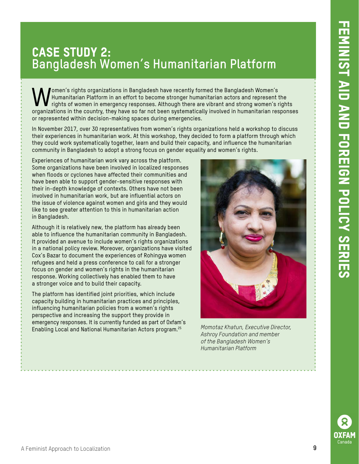## <span id="page-12-0"></span>CASE STUDY 2: **Bangladesh Women's Humanitarian Platform**

Women's rights organizations in Bangladesh have recently formed the Bangladesh Women's<br>
rights of women in emergency responses. Although there are vibrant and strong women's represent to<br>
recently in the accuration in the Humanitarian Platform in an effort to become stronger humanitarian actors and represent the rights of women in emergency responses. Although there are vibrant and strong women's rights organizations in the country, they have so far not been systematically involved in humanitarian responses or represented within decision-making spaces during emergencies.

In November 2017, over 30 representatives from women's rights organizations held a workshop to discuss their experiences in humanitarian work. At this workshop, they decided to form a platform through which they could work systematically together, learn and build their capacity, and influence the humanitarian community in Bangladesh to adopt a strong focus on gender equality and women's rights.

Experiences of humanitarian work vary across the platform. Some organizations have been involved in localized responses when floods or cyclones have affected their communities and have been able to support gender-sensitive responses with their in-depth knowledge of contexts. Others have not been involved in humanitarian work, but are influential actors on the issue of violence against women and girls and they would like to see greater attention to this in humanitarian action in Bangladesh.

Although it is relatively new, the platform has already been able to influence the humanitarian community in Bangladesh. It provided an avenue to include women's rights organizations in a national policy review. Moreover, organizations have visited Cox's Bazar to document the experiences of Rohingya women refugees and held a press conference to call for a stronger focus on gender and women's rights in the humanitarian response. Working collectively has enabled them to have a stronger voice and to build their capacity.

The platform has identified joint priorities, which include capacity building in humanitarian practices and principles, influencing humanitarian policies from a women's rights perspective and increasing the support they provide in emergency responses. It is currently funded as part of Oxfam's Enabling Local and National Humanitarian Actors program.25



*Momotaz Khatun, Executive Director, Ashroy Foundation and member of the Bangladesh Women's Humanitarian Platform*

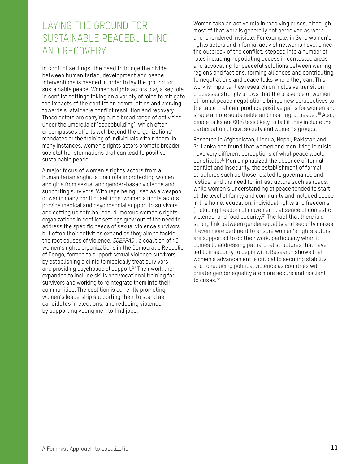### <span id="page-13-0"></span>LAYING THE GROUND FOR SUSTAINABLE PEACEBUILDING AND RECOVERY

In conflict settings, the need to bridge the divide between humanitarian, development and peace interventions is needed in order to lay the ground for sustainable peace. Women's rights actors play a key role in conflict settings taking on a variety of roles to mitigate the impacts of the conflict on communities and working towards sustainable conflict resolution and recovery. These actors are carrying out a broad range of activities under the umbrella of 'peacebuilding', which often encompasses efforts well beyond the organizations' mandates or the training of individuals within them. In many instances, women's rights actors promote broader societal transformations that can lead to positive sustainable peace.

A major focus of women's rights actors from a humanitarian angle, is their role in protecting women and girls from sexual and gender-based violence and supporting survivors. With rape being used as a weapon of war in many conflict settings, women's rights actors provide medical and psychosocial support to survivors and setting up safe houses. Numerous women's rights organizations in conflict settings grew out of the need to address the specific needs of sexual violence survivors but often their activities expand as they aim to tackle the root causes of violence. *SOEFPAD*I, a coalition of 40 women's rights organizations in the Democratic Republic of Congo, formed to support sexual violence survivors by establishing a clinic to medically treat survivors and providing psychosocial support.27 Their work then expanded to include skills and vocational training for survivors and working to reintegrate them into their communities. The coalition is currently promoting women's leadership supporting them to stand as candidates in elections, and reducing violence by supporting young men to find jobs.

Women take an active role in resolving crises, although most of that work is generally not perceived as work and is rendered invisible. For example, in Syria women's rights actors and informal activist networks have, since the outbreak of the conflict, stepped into a number of roles including negotiating access in contested areas and advocating for peaceful solutions between warring regions and factions, forming alliances and contributing to negotiations and peace talks where they can. This work is important as research on inclusive transition processes strongly shows that the presence of women at formal peace negotiations brings new perspectives to the table that can 'produce positive gains for women and shape a more sustainable and meaningful peace'.<sup>28</sup> Also, peace talks are 60% less likely to fail if they include the participation of civil society and women's groups.<sup>29</sup>

Research in Afghanistan, Liberia, Nepal, Pakistan and Sri Lanka has found that women and men living in crisis have very different perceptions of what peace would constitute.30 Men emphasized the absence of formal conflict and insecurity, the establishment of formal structures such as those related to governance and justice, and the need for infrastructure such as roads, while women's understanding of peace tended to start at the level of family and community and included peace in the home, education, individual rights and freedoms (including freedom of movement), absence of domestic violence, and food security.<sup>31</sup> The fact that there is a strong link between gender equality and security makes it even more pertinent to ensure women's rights actors are supported to do their work, particularly when it comes to addressing patriarchal structures that have led to insecurity to begin with. Research shows that women's advancement is critical to securing stability and to reducing political violence as countries with greater gender equality are more secure and resilient to crises.<sup>32</sup>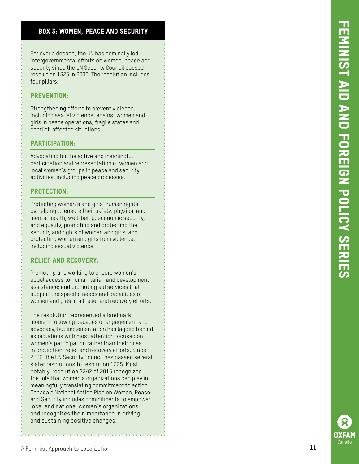#### <span id="page-14-0"></span>Box 3: Women, peace and security

For over a decade, the UN has nominally led intergovernmental efforts on women, peace and security since the UN Security Council passed resolution 1325 in 2000. The resolution includes four pillars:

#### PREVENTION:

Strengthening efforts to prevent violence, including sexual violence, against women and girls in peace operations, fragile states and conflict-affected situations.

#### Participation:

Advocating for the active and meaningful participation and representation of women and local women's groups in peace and security activities, including peace processes.

#### PROTECTION:

Protecting women's and girls' human rights by helping to ensure their safety, physical and mental health, well-being, economic security, and equality; promoting and protecting the security and rights of women and girls; and protecting women and girls from violence, including sexual violence.

#### Relief and recovery:

Promoting and working to ensure women's equal access to humanitarian and development assistance; and promoting aid services that support the specific needs and capacities of women and girls in all relief and recovery efforts.

The resolution represented a landmark moment following decades of engagement and advocacy, but implementation has lagged behind expectations with most attention focused on women's participation rather than their roles in protection, relief and recovery efforts. Since 2000, the UN Security Council has passed several sister resolutions to resolution 1325. Most notably, resolution 2242 of 2015 recognized the role that women's organizations can play in meaningfully translating commitment to action. Canada's National Action Plan on Women, Peace and Security includes commitments to empower local and national women's organizations, and recognizes their importance in driving and sustaining positive changes.

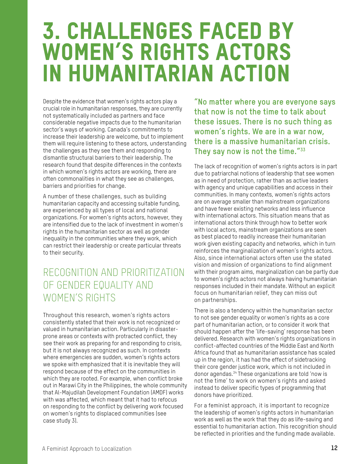## <span id="page-15-0"></span>3. CHALLENGES FACED BY WOMEN'S RIGHTS ACTORS IN HUMANITARIAN ACTION

Despite the evidence that women's rights actors play a crucial role in humanitarian responses, they are currently not systematically included as partners and face considerable negative impacts due to the humanitarian sector's ways of working. Canada's commitments to increase their leadership are welcome, but to implement them will require listening to these actors, understanding the challenges as they see them and responding to dismantle structural barriers to their leadership. The research found that despite differences in the contexts in which women's rights actors are working, there are often commonalities in what they see as challenges, barriers and priorities for change.

A number of these challenges, such as building humanitarian capacity and accessing suitable funding, are experienced by all types of local and national organizations. For women's rights actors, however, they are intensified due to the lack of investment in women's rights in the humanitarian sector as well as gender inequality in the communities where they work, which can restrict their leadership or create particular threats to their security.

### RECOGNITION AND PRIORITIZATION OF GENDER EQUALITY AND WOMEN'S RIGHTS

Throughout this research, women's rights actors consistently stated that their work is not recognized or valued in humanitarian action. Particularly in disasterprone areas or contexts with protracted conflict, they see their work as preparing for and responding to crisis, but it is not always recognized as such. In contexts where emergencies are sudden, women's rights actors we spoke with emphasized that it is inevitable they will respond because of the effect on the communities in which they are rooted. For example, when conflict broke out in Marawi City in the Philippines, the whole community that Al-Majudilah Development Foundation (AMDF) works with was affected, which meant that it had to refocus on responding to the conflict by delivering work focused on women's rights to displaced communities (see case study 3).

**"No matter where you are everyone says that now is not the time to talk about these issues. There is no such thing as women's rights. We are in a war now, there is a massive humanitarian crisis. They say now is not the time."33**

The lack of recognition of women's rights actors is in part due to patriarchal notions of leadership that see women as in need of protection, rather than as active leaders with agency and unique capabilities and access in their communities. In many contexts, women's rights actors are on average smaller than mainstream organizations and have fewer existing networks and less influence with international actors. This situation means that as international actors think through how to better work with local actors, mainstream organizations are seen as best placed to readily increase their humanitarian work given existing capacity and networks, which in turn reinforces the marginalization of women's rights actors. Also, since international actors often use the stated vision and mission of organizations to find alignment with their program aims, marginalization can be partly due to women's rights actors not always having humanitarian responses included in their mandate. Without an explicit focus on humanitarian relief, they can miss out on partnerships.

There is also a tendency within the humanitarian sector to not see gender equality or women's rights as a core part of humanitarian action, or to consider it work that should happen after the 'life-saving' response has been delivered. Research with women's rights organizations in conflict-affected countries of the Middle East and North Africa found that as humanitarian assistance has scaled up in the region, it has had the effect of sidetracking their core gender justice work, which is not included in donor agendas.34 These organizations are told 'now is not the time' to work on women's rights and asked instead to deliver specific types of programming that donors have prioritized.

For a feminist approach, it is important to recognize the leadership of women's rights actors in humanitarian work as well as the work that they do as life-saving and essential to humanitarian action. This recognition should be reflected in priorities and the funding made available.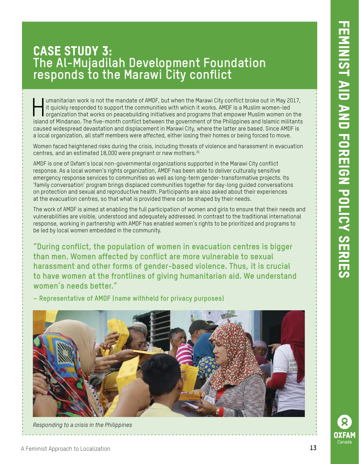## <span id="page-16-0"></span>CASE STUDY 3: **The Al-Mujadilah Development Foundation responds to the Marawi City conflict**

Imanitarian work is not the mandate of AMDF, but when the Marawi City conflict broke out in May 2017,<br>
it quickly responded to support the communities with which it works. AMDF is a Muslim women-led<br>
organization that work it quickly responded to support the communities with which it works. AMDF is a Muslim women-led island of Mindanao. The five-month conflict between the government of the Philippines and Islamic militants caused widespread devastation and displacement in Marawi City, where the latter are based. Since AMDF is a local organization, all staff members were affected, either losing their homes or being forced to move.

Women faced heightened risks during the crisis, including threats of violence and harassment in evacuation centres, and an estimated 18,000 were pregnant or new mothers.35

AMDF is one of Oxfam's local non-governmental organizations supported in the Marawi City conflict response. As a local women's rights organization, AMDF has been able to deliver culturally sensitive emergency response services to communities as well as long-term gender-transformative projects. Its 'family conversation' program brings displaced communities together for day-long guided conversations on protection and sexual and reproductive health. Participants are also asked about their experiences at the evacuation centres, so that what is provided there can be shaped by their needs.

The work of AMDF is aimed at enabling the full participation of women and girls to ensure that their needs and vulnerabilities are visible, understood and adequately addressed. In contrast to the traditional international response, working in partnership with AMDF has enabled women's rights to be prioritized and programs to be led by local women embedded in the community.

**"During conflict, the population of women in evacuation centres is bigger than men. Women affected by conflict are more vulnerable to sexual harassment and other forms of gender-based violence. Thus, it is crucial to have women at the frontlines of giving humanitarian aid. We understand women's needs better."** 

**– Representative of AMDF (name withheld for privacy purposes)** 



*Responding to a crisis in the Philippines*



Canada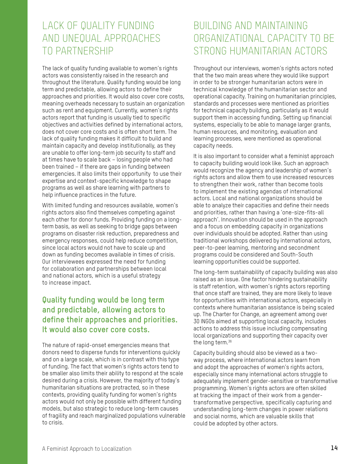### <span id="page-17-0"></span>LACK OF QUALITY FUNDING AND UNEQUAL APPROACHES TO PARTNERSHIP

The lack of quality funding available to women's rights actors was consistently raised in the research and throughout the literature. Quality funding would be long term and predictable, allowing actors to define their approaches and priorities. It would also cover core costs, meaning overheads necessary to sustain an organization such as rent and equipment. Currently, women's rights actors report that funding is usually tied to specific objectives and activities defined by international actors, does not cover core costs and is often short term. The lack of quality funding makes it difficult to build and maintain capacity and develop institutionally, as they are unable to offer long-term job security to staff and at times have to scale back – losing people who had been trained – if there are gaps in funding between emergencies. It also limits their opportunity to use their expertise and context-specific knowledge to shape programs as well as share learning with partners to help influence practices in the future.

With limited funding and resources available, women's rights actors also find themselves competing against each other for donor funds. Providing funding on a longterm basis, as well as seeking to bridge gaps between programs on disaster risk reduction, preparedness and emergency responses, could help reduce competition, since local actors would not have to scale up and down as funding becomes available in times of crisis. Our interviewees expressed the need for funding for collaboration and partnerships between local and national actors, which is a useful strategy to increase impact.

#### **Quality funding would be long term and predictable, allowing actors to define their approaches and priorities. It would also cover core costs.**

The nature of rapid-onset emergencies means that donors need to disperse funds for interventions quickly and on a large scale, which is in contrast with this type of funding. The fact that women's rights actors tend to be smaller also limits their ability to respond at the scale desired during a crisis. However, the majority of today's humanitarian situations are protracted, so in these contexts, providing quality funding for women's rights actors would not only be possible with different funding models, but also strategic to reduce long-term causes of fragility and reach marginalized populations vulnerable to crisis.

## BUILDING AND MAINTAINING ORGANIZATIONAL CAPACITY TO BE STRONG HUMANITARIAN ACTORS

Throughout our interviews, women's rights actors noted that the two main areas where they would like support in order to be stronger humanitarian actors were in technical knowledge of the humanitarian sector and operational capacity. Training on humanitarian principles, standards and processes were mentioned as priorities for technical capacity building, particularly as it would support them in accessing funding. Setting up financial systems, especially to be able to manage larger grants, human resources, and monitoring, evaluation and learning processes, were mentioned as operational capacity needs.

It is also important to consider what a feminist approach to capacity building would look like. Such an approach would recognize the agency and leadership of women's rights actors and allow them to use increased resources to strengthen their work, rather than become tools to implement the existing agendas of international actors. Local and national organizations should be able to analyze their capacities and define their needs and priorities, rather than having a 'one-size-fits-all approach'. Innovation should be used in the approach and a focus on embedding capacity in organizations over individuals should be adopted. Rather than using traditional workshops delivered by international actors, peer-to-peer learning, mentoring and secondment programs could be considered and South-South learning opportunities could be supported.

The long-term sustainability of capacity building was also raised as an issue. One factor hindering sustainability is staff retention, with women's rights actors reporting that once staff are trained, they are more likely to leave for opportunities with international actors, especially in contexts where humanitarian assistance is being scaled up. The Charter for Change, an agreement among over 30 INGOs aimed at supporting local capacity, includes actions to address this issue including compensating local organizations and supporting their capacity over the long term.<sup>36</sup>

Capacity building should also be viewed as a twoway process, where international actors learn from and adopt the approaches of women's rights actors, especially since many international actors struggle to adequately implement gender-sensitive or transformative programming. Women's rights actors are often skilled at tracking the impact of their work from a gendertransformative perspective, specifically capturing and understanding long-term changes in power relations and social norms, which are valuable skills that could be adopted by other actors.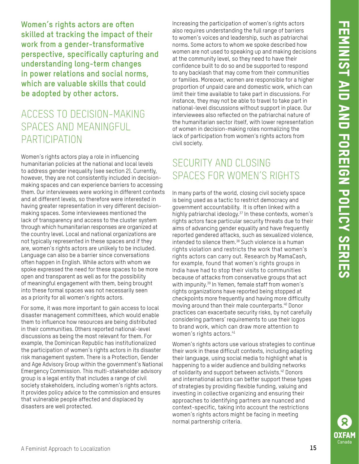<span id="page-18-0"></span>**Women's rights actors are often skilled at tracking the impact of their work from a gender-transformative perspective, specifically capturing and understanding long-term changes in power relations and social norms, which are valuable skills that could be adopted by other actors.** 

## ACCESS TO DECISION-MAKING SPACES AND MEANINGFUL PARTICIPATION

Women's rights actors play a role in influencing humanitarian policies at the national and local levels to address gender inequality (see section 2). Currently, however, they are not consistently included in decisionmaking spaces and can experience barriers to accessing them. Our interviewees were working in different contexts and at different levels, so therefore were interested in having greater representation in very different decisionmaking spaces. Some interviewees mentioned the lack of transparency and access to the cluster system through which humanitarian responses are organized at the country level. Local and national organizations are not typically represented in these spaces and if they are, women's rights actors are unlikely to be included. Language can also be a barrier since conversations often happen in English. While actors with whom we spoke expressed the need for these spaces to be more open and transparent as well as for the possibility of meaningful engagement with them, being brought into these formal spaces was not necessarily seen as a priority for all women's rights actors.

For some, it was more important to gain access to local disaster management committees, which would enable them to influence how resources are being distributed in their communities. Others reported national-level discussions as being the most relevant for them. For example, the Dominican Republic has institutionalized the participation of women's rights actors in its disaster risk management system. There is a Protection, Gender and Age Advisory Group within the government's National Emergency Commission. This multi-stakeholder advisory group is a legal entity that includes a range of civil society stakeholders, including women's rights actors. It provides policy advice to the commission and ensures that vulnerable people affected and displaced by disasters are well protected.

Increasing the participation of women's rights actors also requires understanding the full range of barriers to women's voices and leadership, such as patriarchal norms. Some actors to whom we spoke described how women are not used to speaking up and making decisions at the community level, so they need to have their confidence built to do so and be supported to respond to any backlash that may come from their communities or families. Moreover, women are responsible for a higher proportion of unpaid care and domestic work, which can limit their time available to take part in discussions. For instance, they may not be able to travel to take part in national-level discussions without support in place. Our interviewees also reflected on the patriarchal nature of the humanitarian sector itself, with lower representation of women in decision-making roles normalizing the lack of participation from women's rights actors from civil society.

## SECURITY AND CLOSING SPACES FOR WOMEN'S RIGHTS

In many parts of the world, closing civil society space is being used as a tactic to restrict democracy and government accountability. It is often linked with a highly patriarchal ideology.<sup>37</sup> In these contexts, women's rights actors face particular security threats due to their aims of advancing gender equality and have frequently reported gendered attacks, such as sexualized violence, intended to silence them.<sup>38</sup> Such violence is a human rights violation and restricts the work that women's rights actors can carry out. Research by MamaCash, for example, found that women's rights groups in India have had to stop their visits to communities because of attacks from conservative groups that act with impunity.<sup>39</sup> In Yemen, female staff from women's rights organizations have reported being stopped at checkpoints more frequently and having more difficulty moving around than their male counterparts.40 Donor practices can exacerbate security risks, by not carefully considering partners' requirements to use their logos to brand work, which can draw more attention to women's rights actors.<sup>41</sup>

Women's rights actors use various strategies to continue their work in these difficult contexts, including adapting their language, using social media to highlight what is happening to a wider audience and building networks of solidarity and support between activists.<sup>42</sup> Donors and international actors can better support these types of strategies by providing flexible funding, valuing and investing in collective organizing and ensuring their approaches to identifying partners are nuanced and context-specific, taking into account the restrictions women's rights actors might be facing in meeting normal partnership criteria.

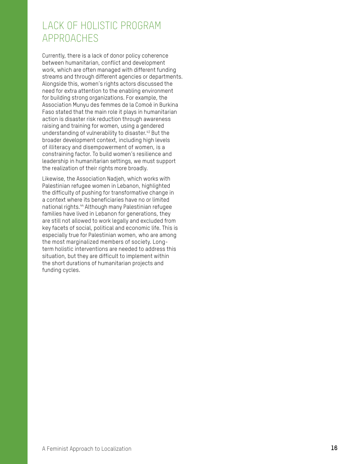#### <span id="page-19-0"></span>LACK OF HOLISTIC PROGRAM APPROACHES

Currently, there is a lack of donor policy coherence between humanitarian, conflict and development work, which are often managed with different funding streams and through different agencies or departments. Alongside this, women's rights actors discussed the need for extra attention to the enabling environment for building strong organizations. For example, the Association Munyu des femmes de la Comoé in Burkina Faso stated that the main role it plays in humanitarian action is disaster risk reduction through awareness raising and training for women, using a gendered understanding of vulnerability to disaster.<sup>43</sup> But the broader development context, including high levels of illiteracy and disempowerment of women, is a constraining factor. To build women's resilience and leadership in humanitarian settings, we must support the realization of their rights more broadly.

Likewise, the Association Nadjeh, which works with Palestinian refugee women in Lebanon, highlighted the difficulty of pushing for transformative change in a context where its beneficiaries have no or limited national rights.44 Although many Palestinian refugee families have lived in Lebanon for generations, they are still not allowed to work legally and excluded from key facets of social, political and economic life. This is especially true for Palestinian women, who are among the most marginalized members of society. Longterm holistic interventions are needed to address this situation, but they are difficult to implement within the short durations of humanitarian projects and funding cycles.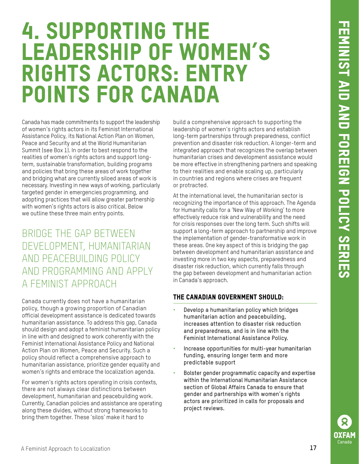## <span id="page-20-0"></span>4. SUPPORTING THE LEADERSHIP OF WOMEN'S RIGHTS ACTORS: ENTRY POINTS FOR CANADA

Canada has made commitments to support the leadership of women's rights actors in its Feminist International Assistance Policy, its National Action Plan on Women, Peace and Security and at the World Humanitarian Summit (see Box 1). In order to best respond to the realities of women's rights actors and support longterm, sustainable transformation, building programs and policies that bring these areas of work together and bridging what are currently siloed areas of work is necessary. Investing in new ways of working, particularly targeted gender in emergencies programming, and adopting practices that will allow greater partnership with women's rights actors is also critical. Below we outline these three main entry points.

## BRIDGE THE GAP BETWEEN DEVELOPMENT, HUMANITARIAN AND PEACEBUILDING POLICY AND PROGRAMMING AND APPLY A FEMINIST APPROACH

Canada currently does not have a humanitarian policy, though a growing proportion of Canadian official development assistance is dedicated towards humanitarian assistance. To address this gap, Canada should design and adopt a feminist humanitarian policy in line with and designed to work coherently with the Feminist International Assistance Policy and National Action Plan on Women, Peace and Security. Such a policy should reflect a comprehensive approach to humanitarian assistance, prioritize gender equality and women's rights and embrace the localization agenda.

For women's rights actors operating in crisis contexts, there are not always clear distinctions between development, humanitarian and peacebuilding work. Currently, Canadian policies and assistance are operating along these divides, without strong frameworks to bring them together. These 'silos' make it hard to

build a comprehensive approach to supporting the leadership of women's rights actors and establish long-term partnerships through preparedness, conflict prevention and disaster risk reduction. A longer-term and integrated approach that recognizes the overlap between humanitarian crises and development assistance would be more effective in strengthening partners and speaking to their realities and enable scaling up, particularly in countries and regions where crises are frequent or protracted.

At the international level, the humanitarian sector is recognizing the importance of this approach. The Agenda for Humanity calls for a 'New Way of Working' to more effectively reduce risk and vulnerability and the need for crisis responses over the long term. Such shifts will support a long-term approach to partnership and improve the implementation of gender-transformative work in these areas. One key aspect of this is bridging the gap between development and humanitarian assistance and investing more in two key aspects, preparedness and disaster risk reduction, which currently falls through the gap between development and humanitarian action in Canada's approach.

#### The Canadian government should:

- Develop a humanitarian policy which bridges humanitarian action and peacebuilding, increases attention to disaster risk reduction and preparedness, and is in line with the Feminist International Assistance Policy.
- Increase opportunities for multi-year humanitarian funding, ensuring longer term and more predictable support
- Bolster gender programmatic capacity and expertise within the International Humanitarian Assistance section of Global Affairs Canada to ensure that gender and partnerships with women's rights actors are prioritized in calls for proposals and project reviews.

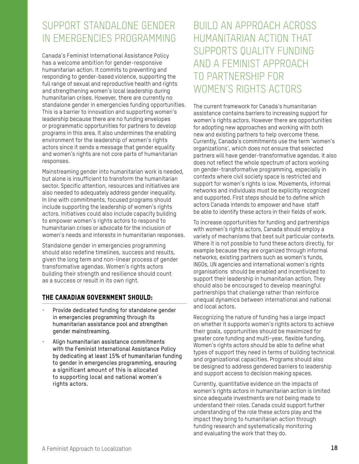### <span id="page-21-0"></span>SUPPORT STANDALONE GENDER IN EMERGENCIES PROGRAMMING

Canada's Feminist International Assistance Policy has a welcome ambition for gender-responsive humanitarian action. It commits to preventing and responding to gender-based violence, supporting the full range of sexual and reproductive health and rights and strengthening women's local leadership during humanitarian crises. However, there are currently no standalone gender in emergencies funding opportunities. This is a barrier to innovation and supporting women's leadership because there are no funding envelopes or programmatic opportunities for partners to develop programs in this area. It also undermines the enabling environment for the leadership of women's rights actors since it sends a message that gender equality and women's rights are not core parts of humanitarian responses.

Mainstreaming gender into humanitarian work is needed, but alone is insufficient to transform the humanitarian sector. Specific attention, resources and initiatives are also needed to adequately address gender inequality. In line with commitments, focused programs should include supporting the leadership of women's rights actors. Initiatives could also include capacity building to empower women's rights actors to respond to humanitarian crises or advocate for the inclusion of women's needs and interests in humanitarian responses.

Standalone gender in emergencies programming should also redefine timelines, success and results, given the long term and non-linear process of gender transformative agendas. Women's rights actors building their strength and resilience should count as a success or result in its own right.

#### The Canadian government should:

- Provide dedicated funding for standalone gender in emergencies programming through its humanitarian assistance pool and strengthen gender mainstreaming.
- Align humanitarian assistance commitments with the Feminist International Assistance Policy by dedicating at least 15% of humanitarian funding to gender in emergencies programming, ensuring a significant amount of this is allocated to supporting local and national women's rights actors.

## BUILD AN APPROACH ACROSS HUMANITARIAN ACTION THAT SUPPORTS QUALITY FUNDING AND A FEMINIST APPROACH TO PARTNERSHIP FOR WOMEN'S RIGHTS ACTORS

The current framework for Canada's humanitarian assistance contains barriers to increasing support for women's rights actors. However there are opportunities for adopting new approaches and working with both new and existing partners to help overcome these. Currently, Canada's commitments use the term 'women's organizations', which does not ensure that selected partners will have gender-transformative agendas. It also does not reflect the whole spectrum of actors working on gender-transformative programming, especially in contexts where civil society space is restricted and support for women's rights is low. Movements, informal networks and individuals must be explicitly recognized and supported. First steps should be to define which actors Canada intends to empower and have staff be able to identify these actors in their fields of work.

To increase opportunities for funding and partnerships with women's rights actors, Canada should employ a variety of mechanisms that best suit particular contexts. Where it is not possible to fund these actors directly, for example because they are organized through informal networks, existing partners such as women's funds, INGOs, UN agencies and international women's rights organisations should be enabled and incentivized to support their leadership in humanitarian action. They should also be encouraged to develop meaningful partnerships that challenge rather than reinforce unequal dynamics between international and national and local actors.

Recognizing the nature of funding has a large impact on whether it supports women's rights actors to achieve their goals, opportunities should be maximized for greater core funding and multi-year, flexible funding. Women's rights actors should be able to define what types of support they need in terms of building technical and organizational capacities. Programs should also be designed to address gendered barriers to leadership and support access to decision making spaces.

Currently, quantitative evidence on the impacts of women's rights actors in humanitarian action is limited since adequate investments are not being made to understand their roles. Canada could support further understanding of the role these actors play and the impact they bring to humanitarian action through funding research and systematically monitoring and evaluating the work that they do.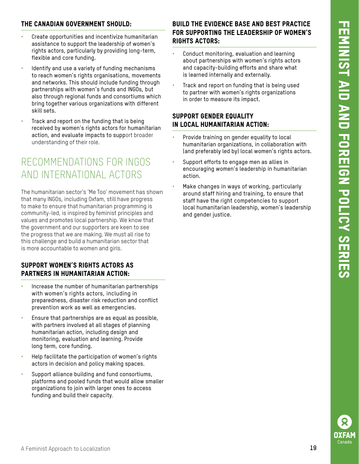#### <span id="page-22-0"></span>The Canadian government should:

- Create opportunities and incentivize humanitarian assistance to support the leadership of women's rights actors, particularly by providing long-term, flexible and core funding.
- Identify and use a variety of funding mechanisms to reach women's rights organisations, movements and networks. This should include funding through partnerships with women's funds and INGOs, but also through regional funds and consortiums which bring together various organizations with different skill sets.
- Track and report on the funding that is being received by women's rights actors for humanitarian action, and evaluate impacts to support broader understanding of their role.

### RECOMMENDATIONS FOR INGOS AND INTERNATIONAL ACTORS

The humanitarian sector's 'Me Too' movement has shown that many INGOs, including Oxfam, still have progress to make to ensure that humanitarian programming is community-led, is inspired by feminist principles and values and promotes local partnership. We know that the government and our supporters are keen to see the progress that we are making. We must all rise to this challenge and build a humanitarian sector that is more accountable to women and girls.

#### Support women's rights actors as partners in humanitarian action:

- Increase the number of humanitarian partnerships with women's rights actors, including in preparedness, disaster risk reduction and conflict prevention work as well as emergencies.
- Ensure that partnerships are as equal as possible, with partners involved at all stages of planning humanitarian action, including design and monitoring, evaluation and learning. Provide long term, core funding.
- Help facilitate the participation of women's rights actors in decision and policy making spaces.
- Support alliance building and fund consortiums, platforms and pooled funds that would allow smaller organizations to join with larger ones to access funding and build their capacity.

#### Build the evidence base and best practice for supporting the leadership of women's rights actors:

- Conduct monitoring, evaluation and learning about partnerships with women's rights actors and capacity-building efforts and share what is learned internally and externally.
- Track and report on funding that is being used to partner with women's rights organizations in order to measure its impact.

#### Support gender equality in local humanitarian action:

- Provide training on gender equality to local humanitarian organizations, in collaboration with (and preferably led by) local women's rights actors.
- Support efforts to engage men as allies in encouraging women's leadership in humanitarian action.
- Make changes in ways of working, particularly around staff hiring and training, to ensure that staff have the right competencies to support local humanitarian leadership, women's leadership and gender justice.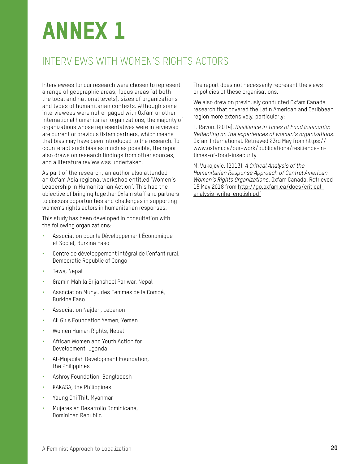# <span id="page-23-0"></span>ANNEX 1

## INTERVIEWS WITH WOMEN'S RIGHTS ACTORS

Interviewees for our research were chosen to represent a range of geographic areas, focus areas (at both the local and national levels), sizes of organizations and types of humanitarian contexts. Although some interviewees were not engaged with Oxfam or other international humanitarian organizations, the majority of organizations whose representatives were interviewed are current or previous Oxfam partners, which means that bias may have been introduced to the research. To counteract such bias as much as possible, the report also draws on research findings from other sources, and a literature review was undertaken.

As part of the research, an author also attended an Oxfam Asia regional workshop entitled 'Women's Leadership in Humanitarian Action'. This had the objective of bringing together Oxfam staff and partners to discuss opportunities and challenges in supporting women's rights actors in humanitarian responses.

This study has been developed in consultation with the following organizations:

- Association pour le Développement Économique et Social, Burkina Faso
- Centre de développement intégral de l'enfant rural, Democratic Republic of Congo
- Tewa, Nepal
- Gramin Mahila Srijansheel Pariwar, Nepal
- Association Munyu des Femmes de la Comoé, Burkina Faso
- Association Najdeh, Lebanon
- All Girls Foundation Yemen, Yemen
- Women Human Rights, Nepal
- African Women and Youth Action for Development, Uganda
- Al-Mujadilah Development Foundation, the Philippines
- Ashroy Foundation, Bangladesh
- KAKASA, the Philippines
- Yaung Chi Thit, Myanmar
- Mujeres en Desarrollo Dominicana, Dominican Republic

The report does not necessarily represent the views or policies of these organisations.

We also drew on previously conducted Oxfam Canada research that covered the Latin American and Caribbean region more extensively, particularly:

L. Ravon. (2014). *Resilience in Times of Food Insecurity: Reflecting on the experiences of women's organizations*. Oxfam International. Retrieved 23rd May from [https://](https://www.oxfam.ca/our-work/publications/resilience-in-times-of-food-insecurity) [www.oxfam.ca/our-work/publications/resilience-in](https://www.oxfam.ca/our-work/publications/resilience-in-times-of-food-insecurity)[times-of-food-insecurity](https://www.oxfam.ca/our-work/publications/resilience-in-times-of-food-insecurity)

M. Vukojevic. (2013). *A Critical Analysis of the Humanitarian Response Approach of Central American Women's Rights Organizations*. Oxfam Canada. Retrieved 15 May 2018 from [http://go.oxfam.ca/docs/critical](http://go.oxfam.ca/docs/critical-analysis-wriha-english.pdf)[analysis-wriha-english.pdf](http://go.oxfam.ca/docs/critical-analysis-wriha-english.pdf)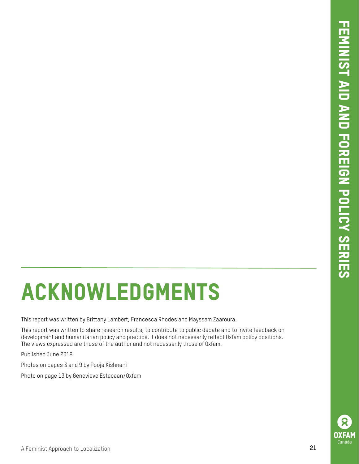## <span id="page-24-0"></span>ACKNOWLEDGMENTS

This report was written by Brittany Lambert, Francesca Rhodes and Mayssam Zaaroura.

This report was written to share research results, to contribute to public debate and to invite feedback on development and humanitarian policy and practice. It does not necessarily reflect Oxfam policy positions. The views expressed are those of the author and not necessarily those of Oxfam.

Published June 2018.

Photos on pages 3 and 9 by Pooja Kishnani

Photo on page 13 by Genevieve Estacaan/Oxfam

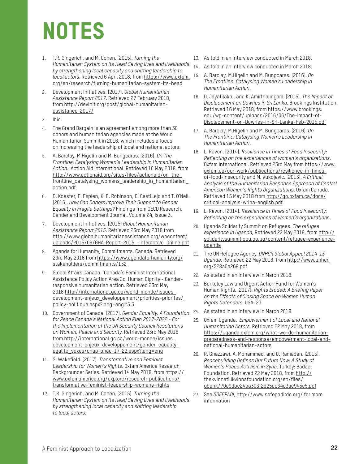# <span id="page-25-0"></span>NOTES

- 1. T.R. Gingerich, and M. Cohen. (2015). *Turning the Humanitarian System on its Head Saving lives and livelihoods by strengthening local capacity and shifting leadership to local actors*. Retrieved 6 April 2018, from [https://www.oxfam.](https://www.oxfam.org/en/research/turning-humanitarian-system-its-head) [org/en/research/turning-humanitarian-system-its-head](https://www.oxfam.org/en/research/turning-humanitarian-system-its-head)
- 2. Development Initiatives. (2017). *Global Humanitarian Assistance Report 2017*. Retrieved 27 February 2018, fro[m http://devinit.org/post/global-humanitarian](http://devinit.org/post/global-humanitarian-assistance-2017/)[assistance-2017/](http://devinit.org/post/global-humanitarian-assistance-2017/)
- 3. Ibid.
- The Grand Bargain is an agreement among more than 30 donors and humanitarian agencies made at the World Humanitarian Summit in 2016, which includes a focus on increasing the leadership of local and national actors.
- 5. A. Barclay, M.Higelin and M. Bungcaras. (2016). *On The Frontline: Catalysing Women's Leadership In Humanitarian Action*. Action Aid International. Retrieved 10 May 2018, from [http://www.actionaid.org/sites/files/actionaid/on\\_the\\_](http://www.actionaid.org/sites/files/actionaid/on_the_frontline_catalysing_womens_leadership_in_humanitarian_action.pdf) frontline\_catalysing\_womens\_leadership\_in\_humanitarian [action.pdf](http://www.actionaid.org/sites/files/actionaid/on_the_frontline_catalysing_womens_leadership_in_humanitarian_action.pdf)
- 6. D. Koester, E. Esplen, K. B. Robinson, C. Castillejo and T. O'Neil. (2016). *How Can Donors Improve Their Support to Gender Equality in Fragile Settings?* Findings from OECD Research. Gender and Development Journal. Volume 24, Issue 3.
- 7. Development Initiatives. (2015) *Global Humanitarian Assistance Report 2015*. Retrieved 23rd May 2018 from [http://www.globalhumanitarianassistance.org/wpcontent/](http://www.globalhumanitarianassistance.org/wpcontent/uploads/2015/06/GHA-Report-2015_-Interactive_Online.pdf) [uploads/2015/06/GHA-Report-2015\\_-Interactive\\_Online.pdf](http://www.globalhumanitarianassistance.org/wpcontent/uploads/2015/06/GHA-Report-2015_-Interactive_Online.pdf)
- 8. Agenda for Humanity, Commitments, Canada. Retrieved 23rd May 2018 from [https://www.agendaforhumanity.org/](https://www.agendaforhumanity.org/stakeholders/commitments/132) [stakeholders/commitments/132](https://www.agendaforhumanity.org/stakeholders/commitments/132)
- 9. Global Affairs Canada. 'Canada's Feminist International Assistance Policy Action Area 2c, Human Dignity - Genderresponsive humanitarian action. Retrieved 23rd May 2018 [http://international.gc.ca/world-monde/issues\\_](http://international.gc.ca/world-monde/issues_development-enjeux_developpement/priorities-priorites/policy-politique.aspx?lang=eng#5.3) [development-enjeux\\_developpement/priorities-priorites/](http://international.gc.ca/world-monde/issues_development-enjeux_developpement/priorities-priorites/policy-politique.aspx?lang=eng#5.3) [policy-politique.aspx?lang=eng#5.3](http://international.gc.ca/world-monde/issues_development-enjeux_developpement/priorities-priorites/policy-politique.aspx?lang=eng#5.3)
- 10. Government of Canada. (2017). *Gender Equality: A Foundation for Peace Canada's National Action Plan 2017-2022 - For the Implementation of the UN Security Council Resolutions on Women, Peace and Security.* Retrieved 23rd May 2018 from [http://international.gc.ca/world-monde/issues\\_](http://international.gc.ca/world-monde/issues_development-enjeux_developpement/gender_equality-egalite_sexes/cnap-pnac-17-22.aspx?lang=eng) [development-enjeux\\_developpement/gender\\_equality](http://international.gc.ca/world-monde/issues_development-enjeux_developpement/gender_equality-egalite_sexes/cnap-pnac-17-22.aspx?lang=eng)[egalite\\_sexes/cnap-pnac-17-22.aspx?lang=eng](http://international.gc.ca/world-monde/issues_development-enjeux_developpement/gender_equality-egalite_sexes/cnap-pnac-17-22.aspx?lang=eng)
- 11. S. Wakefield. (2017). *Transformative and Feminist Leadership for Women's Rights*. Oxfam America Research Backgrounder Series. Retrieved 14 May 2018, from [https://](https://www.oxfamamerica.org/explore/research-publications/transformative-feminist-leadership-womens-rights/) [www.oxfamamerica.org/explore/research-publications/](https://www.oxfamamerica.org/explore/research-publications/transformative-feminist-leadership-womens-rights/) [transformative-feminist-leadership-womens-rights](https://www.oxfamamerica.org/explore/research-publications/transformative-feminist-leadership-womens-rights/)
- 12. T.R. Gingerich, and M. Cohen. (2015). *Turning the Humanitarian System on its Head Saving lives and livelihoods by strengthening local capacity and shifting leadership to local actors*.
- 13. As told in an interview conducted in March 2018.
- 14. As told in an interview conducted in March 2018.
- 15. A. Barclay, M.Higelin and M. Bungcaras. (2016). *On The Frontline: Catalysing Women's Leadership In Humanitarian Action*.
- 16. D. Jayatilaka., and K. Amirthalingam. (2015). *The Impact of Displacement on Dowries in Sri Lanka*. Brookings Institution. Retrieved 16 May 2018, from [https://www.brookings.](https://www.brookings.edu/wp-content/uploads/2016/06/The-Impact-of-Displacement-on-Dowries-in-Sri-Lanka-Feb-2015.pdf) [edu/wp-content/uploads/2016/06/The-Impact-of-](https://www.brookings.edu/wp-content/uploads/2016/06/The-Impact-of-Displacement-on-Dowries-in-Sri-Lanka-Feb-2015.pdf)[Displacement-on-Dowries-in-Sri-Lanka-Feb-2015.pdf](https://www.brookings.edu/wp-content/uploads/2016/06/The-Impact-of-Displacement-on-Dowries-in-Sri-Lanka-Feb-2015.pdf)
- 17. A. Barclay, M.Higelin and M. Bungcaras. (2016). *On The Frontline: Catalysing Women's Leadership In Humanitarian Action*.
- 18. L. Ravon. (2014). *Resilience in Times of Food Insecurity: Reflecting on the experiences of women's organizations*. Oxfam International. Retrieved 23rd May from [https://www.](https://www.oxfam.ca/our-work/publications/resilience-in-times-of-food-insecurity) [oxfam.ca/our-work/publications/resilience-in-times](https://www.oxfam.ca/our-work/publications/resilience-in-times-of-food-insecurity)[of-food-insecurity](https://www.oxfam.ca/our-work/publications/resilience-in-times-of-food-insecurity) and M. Vukojevic. (2013). *A Critical Analysis of the Humanitarian Response Approach of Central American Women's Rights Organizations*. Oxfam Canada. Retrieved 15 May 2018 from [http://go.oxfam.ca/docs/](http://go.oxfam.ca/docs/critical-analysis-wriha-english.pdf) [critical-analysis-wriha-english.pdf](http://go.oxfam.ca/docs/critical-analysis-wriha-english.pdf)
- 19. L. Ravon. (2014). *Resilience in Times of Food Insecurity: Reflecting on the experiences of women's organization*s.
- 20. Uganda Solidarity Summit on Refugees. *The refugee experience in Uganda*, Retrieved 22 May 2018, from [http://](http://solidaritysummit.gou.go.ug/content/refugee-experience-uganda) [solidaritysummit.gou.go.ug/content/refugee-experience](http://solidaritysummit.gou.go.ug/content/refugee-experience-uganda)[uganda](http://solidaritysummit.gou.go.ug/content/refugee-experience-uganda)
- 21. The UN Refugee Agency. *UNHCR Global Appeal 2014-15 Uganda*. Retrieved 22 May 2018, from [http://www.unhcr.](http://www.unhcr.org/528a0a268.pdf) [org/528a0a268.pdf](http://www.unhcr.org/528a0a268.pdf)
- 22. As stated in an interview in March 2018.
- 23. Berkeley Law and Urgent Action Fund for Women's Human Rights. (2017). *Rights Eroded: A Briefing Paper on the Effects of Closing Space on Women Human Rights Defenders*. USA: 23.
- 24. As stated in an interview in March 2018.
- 25. Oxfam Uganda. *Empowerment of Local and National Humanitarian Actors*. Retrieved 22 May 2018, from [https://uganda.oxfam.org/what-we-do-humanitarian](https://uganda.oxfam.org/what-we-do-humanitarian-preparedness-and-response/empowerment-local-and-national-humanitarian-actors)[preparedness-and-response/empowerment-local-and](https://uganda.oxfam.org/what-we-do-humanitarian-preparedness-and-response/empowerment-local-and-national-humanitarian-actors)[national-humanitarian-actors](https://uganda.oxfam.org/what-we-do-humanitarian-preparedness-and-response/empowerment-local-and-national-humanitarian-actors)
- 26. R. Ghazzawi, A. Mohammed, and O. Ramadan. (2015). *Peacebuilding Defines Our Future Now: A Study of Women's Peace Activism in Syria*. Turkey: Badael Foundation. Retrieved 22 May 2018, from [http://](http://thekvinnatillkvinnafoundation.org/en/files/qbank/70e9dbe24ba303f2d25ac34d3ae945c5.pdf) [thekvinnatillkvinnafoundation.org/en/files/](http://thekvinnatillkvinnafoundation.org/en/files/qbank/70e9dbe24ba303f2d25ac34d3ae945c5.pdf) [qbank/70e9dbe24ba303f2d25ac34d3ae945c5.pdf](http://thekvinnatillkvinnafoundation.org/en/files/qbank/70e9dbe24ba303f2d25ac34d3ae945c5.pdf)
- 27. See *SOFEPADI*, <http://www.sofepadirdc.org/>for more information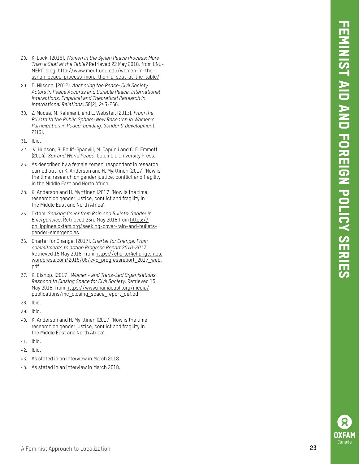- 28. K. Lock. (2016). *Women in the Syrian Peace Process: More Than a Seat at the Table?* Retrieved 22 May 2018, from UNU-MERIT blog: [http://www.merit.unu.edu/women-in-the](http://www.merit.unu.edu/women-in-the-syrian-peace-process-more-than-a-seat-at-the-table/)[syrian-peace-process-more-than-a-seat-at-the-table/](http://www.merit.unu.edu/women-in-the-syrian-peace-process-more-than-a-seat-at-the-table/)
- 29. D. Nilsson. (2012). *Anchoring the Peace: Civil Society Actors in Peace Accords and Durable Peace. International Interactions: Empirical and Theoretical Research in International Relations*. 38(2), 243-266.
- 30. Z. Moosa, M. Rahmani, and L. Webster. (2013). *From the Private to the Public Sphere: New Research in Women's Participation in Peace-building. Gender & Development*, 21(3).
- 31. Ibid.
- 32. V. Hudson, B. Ballif-Spanvill, M. Caprioli and C. F. Emmett (2014). *Sex and World Peace*. Columbia University Press.
- 33. As described by a female Yemeni respondent in research carried out for K. Anderson and H. Myrttinen (2017) 'Now is the time: research on gender justice, conflict and fragility in the Middle East and North Africa'.
- 34. K. Anderson and H. Myrttinen (2017) 'Now is the time: research on gender justice, conflict and fragility in the Middle East and North Africa'.
- 35. Oxfam. *Seeking Cover from Rain and Bullets: Gender in Emergencies*. Retrieved 23rd May 2018 from [https://](https://philippines.oxfam.org/seeking-cover-rain-and-bullets-gender-emergencies) [philippines.oxfam.org/seeking-cover-rain-and-bullets](https://philippines.oxfam.org/seeking-cover-rain-and-bullets-gender-emergencies)[gender-emergencies](https://philippines.oxfam.org/seeking-cover-rain-and-bullets-gender-emergencies)
- 36. Charter for Change. (2017). *Charter for Change: From commitments to action Progress Report 2016-2017*. Retrieved 15 May 2018, from [https://charter4change.files.](https://charter4change.files.wordpress.com/2015/08/c4c_progressreport_2017_web.pdf) [wordpress.com/2015/08/c4c\\_progressreport\\_2017\\_web.](https://charter4change.files.wordpress.com/2015/08/c4c_progressreport_2017_web.pdf) [pdf](https://charter4change.files.wordpress.com/2015/08/c4c_progressreport_2017_web.pdf)
- 37. K. Bishop. (2017). *Women- and Trans-Led Organisations Respond to Closing Space for Civil Society*. Retrieved 15 May 2018, from [https://www.mamacash.org/media/](https://www.mamacash.org/media/publications/mc_closing_space_report_def.pdf) [publications/mc\\_closing\\_space\\_report\\_def.pdf](https://www.mamacash.org/media/publications/mc_closing_space_report_def.pdf)
- 38. Ibid.
- 39. Ibid.
- 40. K. Anderson and H. Myrttinen (2017) 'Now is the time: research on gender justice, conflict and fragility in the Middle East and North Africa'.
- 41. Ibid.
- 42. Ibid.
- 43. As stated in an interview in March 2018.
- 44. As stated in an interview in March 2018.

**OXFAM** Canada